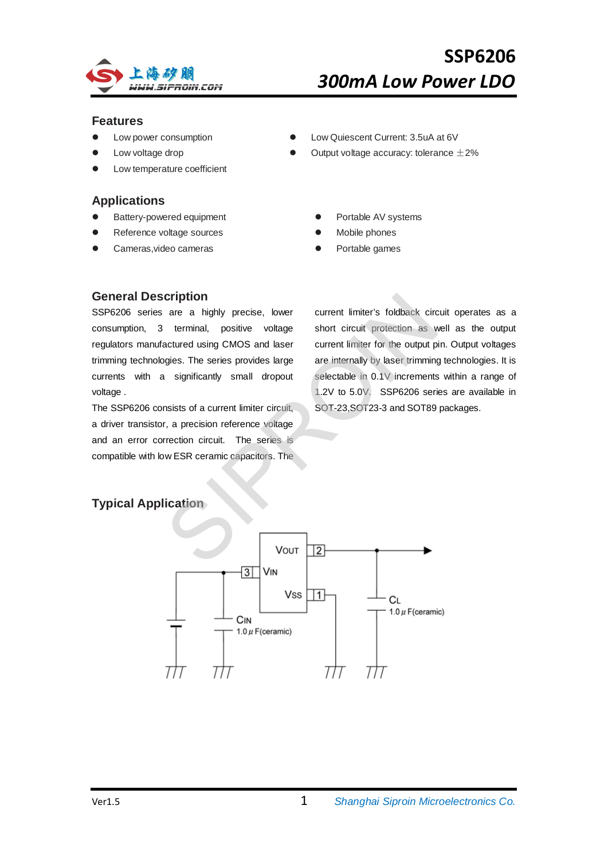

## **Features**

- Low power consumption
- Low voltage drop
- Low temperature coefficient

## **Applications**

- Battery-powered equipment
- Reference voltage sources
- Cameras,video cameras
- Low Quiescent Current: 3.5uA at 6V
- Output voltage accuracy: tolerance  $\pm 2\%$ 
	- Portable AV systems
	- Mobile phones
	- Portable games

## **General Description**

SSP6206 series are a highly precise, lower consumption, 3 terminal, positive voltage regulators manufactured using CMOS and laser trimming technologies. The series provides large currents with a significantly small dropout voltage .

The SSP6206 consists of a current limiter circuit, a driver transistor, a precision reference voltage and an error correction circuit. The series is compatible with low ESR ceramic capacitors. The

current limiter's foldback circuit operates as a short circuit protection as well as the output current limiter for the output pin. Output voltages are internally by laser trimming technologies. It is selectable in 0.1V increments within a range of 1.2V to 5.0V. SSP6206 series are available in SOT-23,SOT23-3 and SOT89 packages. cription<br>
are a highly precise, lower current limiter's foldback circ<br>
terminal, positive voltage short circuit protection as v<br>
actured using CMOS and laser current limiter for the output p<br>
gies. The series provides larg

## **Typical Application**

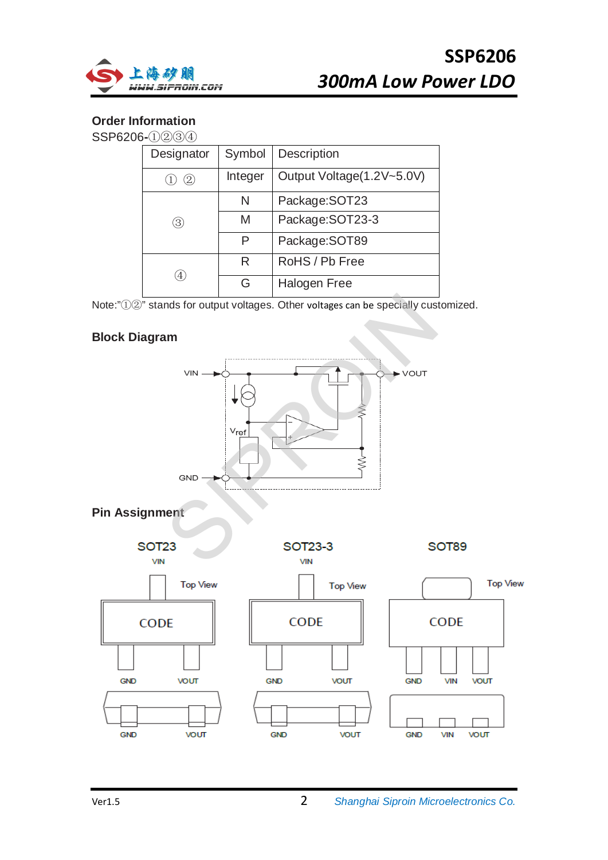

## **Order Information**

SSP6206**-**①②③④

| Designator | Symbol  | <b>Description</b>        |
|------------|---------|---------------------------|
| 2.         | Integer | Output Voltage(1.2V~5.0V) |
|            | N       | Package: SOT23            |
| 3)         | M       | Package: SOT23-3          |
|            | P       | Package: SOT89            |
|            | R       | RoHS / Pb Free            |
| 4          | G       | Halogen Free              |

Note:"①②" stands for output voltages. Other voltages can be specially customized.

## **Block Diagram**

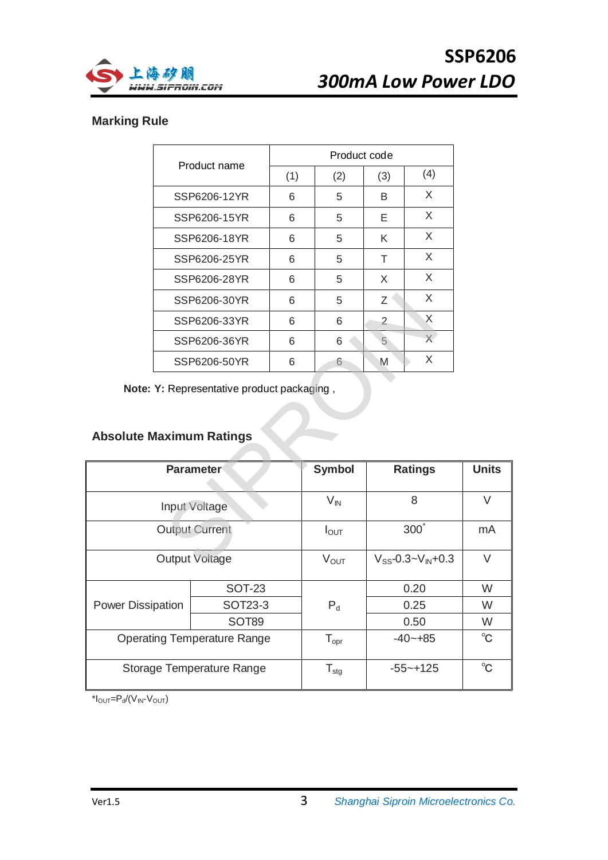



## **Marking Rule**

|              | Product code |     |                |          |  |  |
|--------------|--------------|-----|----------------|----------|--|--|
| Product name | (1)          | (2) | (3)            | (4)      |  |  |
| SSP6206-12YR | 6            | 5   | B              | X        |  |  |
| SSP6206-15YR | 6            | 5   | Е              | X        |  |  |
| SSP6206-18YR | 6            | 5   | K              | X        |  |  |
| SSP6206-25YR | 6            | 5   | т              | X        |  |  |
| SSP6206-28YR | 6            | 5   | X              | X        |  |  |
| SSP6206-30YR | 6            | 5   | Ζ              | X        |  |  |
| SSP6206-33YR | 6            | 6   | $\overline{2}$ | $\times$ |  |  |
| SSP6206-36YR | 6            | 6   | 5              | X        |  |  |
| SSP6206-50YR | 6            | 6   | M              | X        |  |  |

# **Absolute Maximum Ratings**

|                                 |                                            |   | 5                | X<br>Ζ                       |              |
|---------------------------------|--------------------------------------------|---|------------------|------------------------------|--------------|
|                                 | SSP6206-33YR                               | 6 | 6                | $\times$<br>$\overline{2}$   |              |
|                                 | SSP6206-36YR                               | 6 | 6                | $\times$<br>5                |              |
|                                 | SSP6206-50YR                               | 6 | 6                | X<br>M                       |              |
|                                 | Note: Y: Representative product packaging, |   |                  |                              |              |
|                                 |                                            |   |                  |                              |              |
|                                 |                                            |   |                  |                              |              |
| <b>Absolute Maximum Ratings</b> |                                            |   |                  |                              |              |
| <b>Parameter</b>                |                                            |   | <b>Symbol</b>    | <b>Ratings</b>               | <b>Units</b> |
|                                 |                                            |   |                  |                              |              |
| Input Voltage                   |                                            |   |                  | 8                            |              |
|                                 |                                            |   | $V_{\text{IN}}$  |                              | $\vee$       |
|                                 | <b>Output Current</b>                      |   | $I_{\text{OUT}}$ | $300^{\degree}$              | mA           |
|                                 |                                            |   |                  |                              |              |
|                                 | Output Voltage                             |   | $V_{OUT}$        | $V_{SS}$ -0.3~ $V_{IN}$ +0.3 | $\vee$       |
|                                 | <b>SOT-23</b>                              |   |                  | 0.20                         | W            |
| <b>Power Dissipation</b>        | SOT23-3                                    |   | $P_d$            | 0.25                         | W            |
|                                 | <b>SOT89</b>                               |   |                  | 0.50                         | W            |
|                                 | <b>Operating Temperature Range</b>         |   | $T_{\text{opr}}$ | $-40 - +85$                  | $^{\circ}$ C |
|                                 |                                            |   |                  |                              |              |
|                                 | Storage Temperature Range                  |   | $T_{\text{stg}}$ | $-55 - +125$                 | $^{\circ}$ C |

 $*I_{\text{OUT}}=P_d/(V_{\text{IN}}-V_{\text{OUT}})$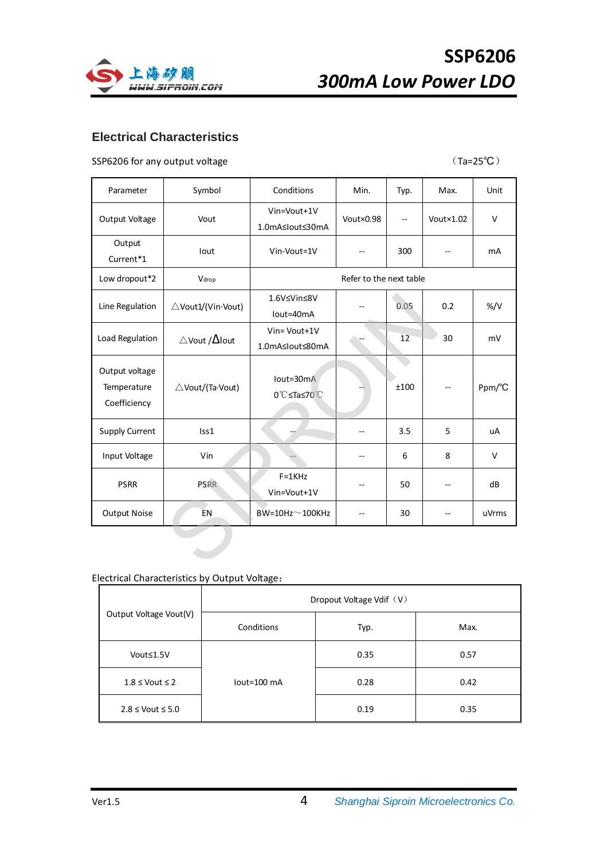

# **SSP6206** *300mA Low Power LDO*

## **Electrical Characteristics**

### SSP6206 for any output voltage  $(Ta=25^{\circ}C)^{2}$

| Parameter                                     | Symbol                              | Conditions                      | Min.      | Typ.                     | Max.               | Unit          |
|-----------------------------------------------|-------------------------------------|---------------------------------|-----------|--------------------------|--------------------|---------------|
| Output Voltage                                | Vout                                | Vin=Vout+1V<br>1.0mA≤lout≤30mA  | Vout×0.98 | $\overline{\phantom{a}}$ | Vout $\times$ 1.02 | $\vee$        |
| Output<br>Current*1                           | lout                                | Vin-Vout=1V                     |           | 300                      |                    | <b>mA</b>     |
| Low dropout*2                                 | Vdrop                               | Refer to the next table         |           |                          |                    |               |
| Line Regulation                               | △Vout1/(Vin·Vout)                   | 1.6V≤Vin≤8V<br>lout=40mA        |           | 0.05                     | 0.2                | $\frac{9}{V}$ |
| Load Regulation                               | $\triangle$ Vout / $\triangle$ lout | Vin= Vout+1V<br>1.0mA≤lout≤80mA |           | 12                       | 30                 | mV            |
| Output voltage<br>Temperature<br>Coefficiency | △Vout/(Ta·Vout)                     | $Iout=30mA$<br>0℃≤Ta≤70℃        |           | ±100                     |                    | Ppm/°C        |
| <b>Supply Current</b>                         | Iss1                                |                                 |           | 3.5                      | 5                  | uA            |
| Input Voltage                                 | Vin                                 |                                 | --        | 6                        | 8                  | $\vee$        |
| <b>PSRR</b>                                   | <b>PSRR</b>                         | $F = 1K$ Hz<br>Vin=Vout+1V      |           | 50                       | --                 | dB            |
| <b>Output Noise</b>                           | <b>EN</b>                           | $BW = 10Hz \sim 100KHz$         |           | 30                       | --                 | uVrms         |
|                                               |                                     |                                 |           |                          |                    |               |

## Electrical Characteristics by Output Voltage:

|                                       | Dropout Voltage Vdif (V) |      |      |  |  |
|---------------------------------------|--------------------------|------|------|--|--|
| Output Voltage Vout(V)                | Conditions               | Typ. | Max. |  |  |
| Vout≤1.5V                             |                          | 0.35 | 0.57 |  |  |
| $1.8 \le$ Vout $\le$ 2<br>lout=100 mA |                          | 0.28 | 0.42 |  |  |
| $2.8 \le$ Vout $\le 5.0$              |                          | 0.19 | 0.35 |  |  |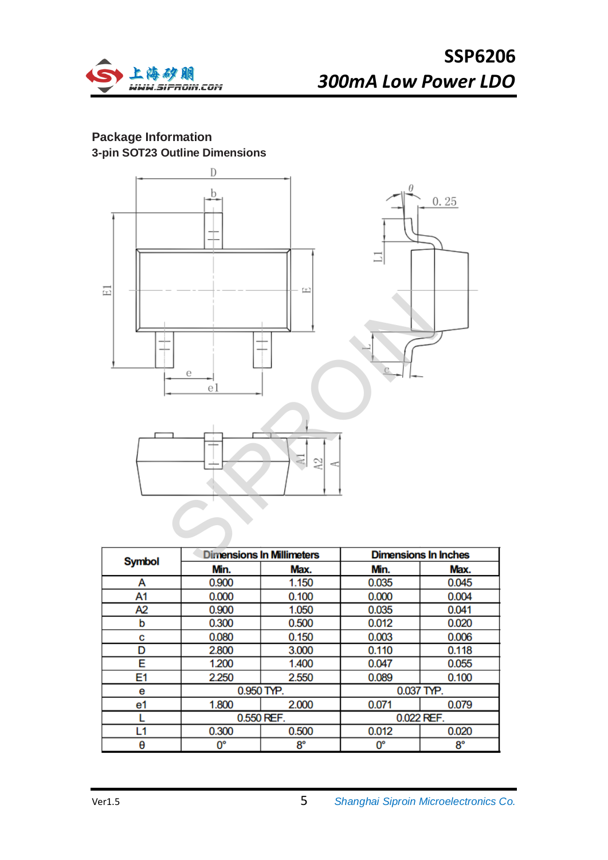

## **Package Information 3-pin SOT23 Outline Dimensions**



| <b>Symbol</b>  | <b>Dimensions In Millimeters</b> |                          | <b>Dimensions In Inches</b> |       |  |
|----------------|----------------------------------|--------------------------|-----------------------------|-------|--|
|                | Min.                             | Max.                     | Min.                        | Max.  |  |
| А              | 0.900                            | 1.150                    | 0.035                       | 0.045 |  |
| A1             | 0.000                            | 0.100                    | 0.000                       | 0.004 |  |
| A2             | 0.900                            | 1.050                    | 0.035                       | 0.041 |  |
| b              | 0.300                            | 0.500                    | 0.012                       | 0.020 |  |
| C              | 0.080                            | 0.150                    | 0.003                       | 0.006 |  |
| D              | 2.800                            | 3.000                    | 0.110                       | 0.118 |  |
| E              | 1.200                            | 1.400                    | 0.047                       | 0.055 |  |
| E <sub>1</sub> | 2.250                            | 2.550                    | 0.089                       | 0.100 |  |
| е              | 0.950 TYP.                       |                          | 0.037 TYP.                  |       |  |
| e1             | 1.800                            | 2.000                    | 0.071                       | 0.079 |  |
|                |                                  | 0.022 REF.<br>0.550 REF. |                             |       |  |
| L1             | 0.300                            | 0.500                    | 0.012                       | 0.020 |  |
| θ              | 0°                               | $8^{\circ}$              | 0°                          | 8°    |  |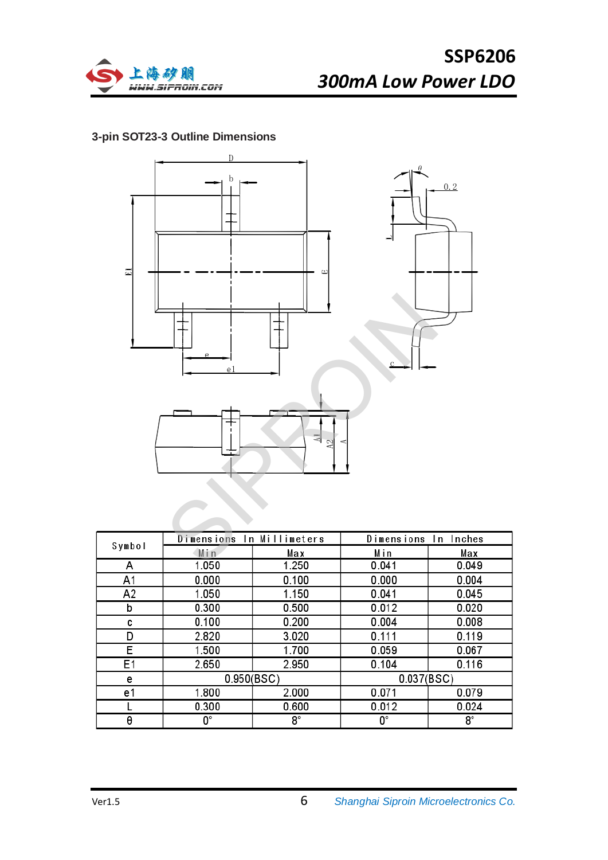

## **3-pin SOT23-3 Outline Dimensions**



|        | Dimensions In Millimeters |       | Dimensions In Inches |       |
|--------|---------------------------|-------|----------------------|-------|
| Symbol | Min                       | Max   | Min                  | Max   |
| А      | 1.050                     | 1.250 | 0.041                | 0.049 |
| A1     | 0.000                     | 0.100 | 0.000                | 0.004 |
| A2     | 1.050                     | 1.150 | 0.041                | 0.045 |
| b      | 0.300                     | 0.500 | 0.012                | 0.020 |
| C      | 0.100                     | 0.200 | 0.004                | 0.008 |
| D      | 2.820                     | 3.020 | 0.111                | 0.119 |
| E      | 1.500                     | 1.700 | 0.059                | 0.067 |
| E1     | 2.650                     | 2.950 | 0.104                | 0.116 |
| е      | 0.950(BSC)                |       | 0.037(BSC)           |       |
| e1     | 1.800                     | 2.000 | 0.071                | 0.079 |
|        | 0.300                     | 0.600 | 0.012                | 0.024 |
| θ      | О°                        | 8°    | О°                   | 8°    |